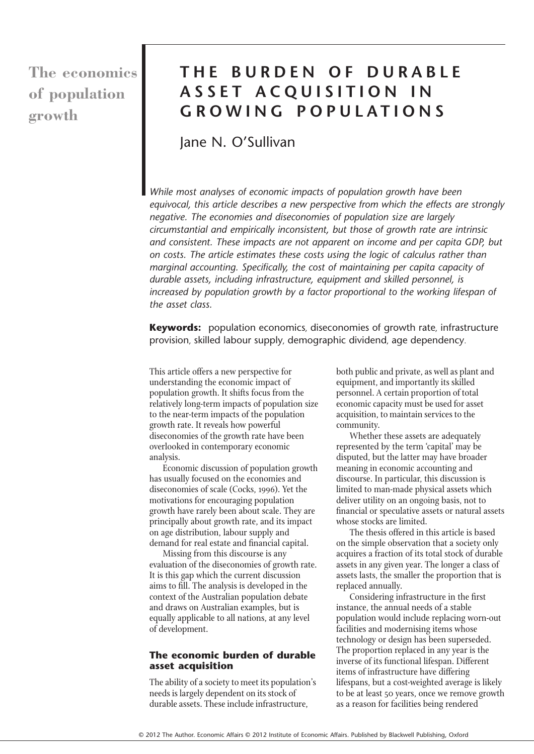# **The economics of population growth**

# **THE BURDEN OF DURABLE ASSET ACQUISITION IN GROWING POPULATIONS**

Jane N. O'Sullivan

*While most analyses of economic impacts of population growth have been equivocal, this article describes a new perspective from which the effects are strongly negative. The economies and diseconomies of population size are largely circumstantial and empirically inconsistent, but those of growth rate are intrinsic and consistent. These impacts are not apparent on income and per capita GDP, but on costs. The article estimates these costs using the logic of calculus rather than marginal accounting. Specifically, the cost of maintaining per capita capacity of durable assets, including infrastructure, equipment and skilled personnel, is increased by population growth by a factor proportional to the working lifespan of the asset class.*

**Keywords:** population economics, diseconomies of growth rate, infrastructure provision, skilled labour supply, demographic dividend, age dependency.

This article offers a new perspective for understanding the economic impact of population growth. It shifts focus from the relatively long-term impacts of population size to the near-term impacts of the population growth rate. It reveals how powerful diseconomies of the growth rate have been overlooked in contemporary economic analysis.

Economic discussion of population growth has usually focused on the economies and diseconomies of scale (Cocks, 1996). Yet the motivations for encouraging population growth have rarely been about scale. They are principally about growth rate, and its impact on age distribution, labour supply and demand for real estate and financial capital.

Missing from this discourse is any evaluation of the diseconomies of growth rate. It is this gap which the current discussion aims to fill. The analysis is developed in the context of the Australian population debate and draws on Australian examples, but is equally applicable to all nations, at any level of development.

# **The economic burden of durable asset acquisition**

The ability of a society to meet its population's needs is largely dependent on its stock of durable assets. These include infrastructure,

both public and private, as well as plant and equipment, and importantly its skilled personnel. A certain proportion of total economic capacity must be used for asset acquisition, to maintain services to the community.

Whether these assets are adequately represented by the term 'capital' may be disputed, but the latter may have broader meaning in economic accounting and discourse. In particular, this discussion is limited to man-made physical assets which deliver utility on an ongoing basis, not to financial or speculative assets or natural assets whose stocks are limited.

The thesis offered in this article is based on the simple observation that a society only acquires a fraction of its total stock of durable assets in any given year. The longer a class of assets lasts, the smaller the proportion that is replaced annually.

Considering infrastructure in the first instance, the annual needs of a stable population would include replacing worn-out facilities and modernising items whose technology or design has been superseded. The proportion replaced in any year is the inverse of its functional lifespan. Different items of infrastructure have differing lifespans, but a cost-weighted average is likely to be at least 50 years, once we remove growth as a reason for facilities being rendered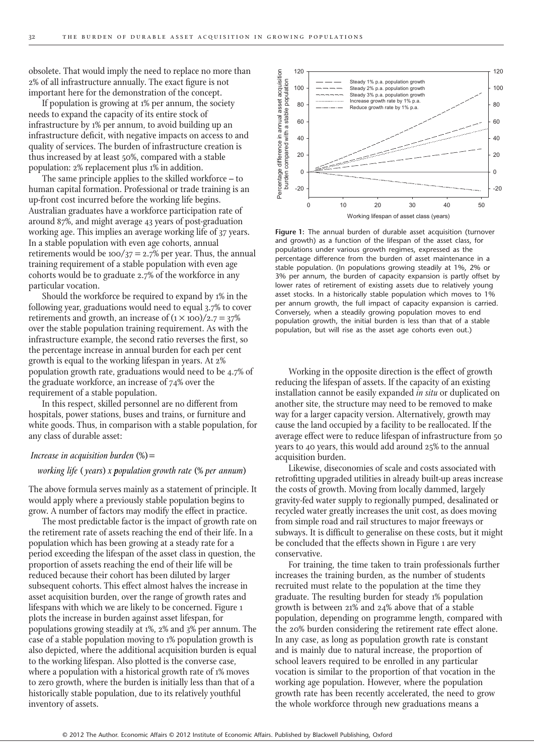obsolete. That would imply the need to replace no more than 2% of all infrastructure annually. The exact figure is not important here for the demonstration of the concept.

If population is growing at 1% per annum, the society needs to expand the capacity of its entire stock of infrastructure by 1% per annum, to avoid building up an infrastructure deficit, with negative impacts on access to and quality of services. The burden of infrastructure creation is thus increased by at least 50%, compared with a stable population: 2% replacement plus 1% in addition.

The same principle applies to the skilled workforce – to human capital formation. Professional or trade training is an up-front cost incurred before the working life begins. Australian graduates have a workforce participation rate of around 87%, and might average 43 years of post-graduation working age. This implies an average working life of 37 years. In a stable population with even age cohorts, annual retirements would be  $100/37 = 2.7%$  per year. Thus, the annual training requirement of a stable population with even age cohorts would be to graduate 2.7% of the workforce in any particular vocation.

Should the workforce be required to expand by 1% in the following year, graduations would need to equal 3.7% to cover retirements and growth, an increase of  $(1 \times 100)/2.7 = 37\%$ over the stable population training requirement. As with the infrastructure example, the second ratio reverses the first, so the percentage increase in annual burden for each per cent growth is equal to the working lifespan in years. At 2% population growth rate, graduations would need to be 4.7% of the graduate workforce, an increase of 74% over the requirement of a stable population.

In this respect, skilled personnel are no different from hospitals, power stations, buses and trains, or furniture and white goods. Thus, in comparison with a stable population, for any class of durable asset:

#### *Increase in acquisition burden* (%) =

#### working life (years) x **p**opulation growth rate (% per annum)

The above formula serves mainly as a statement of principle. It would apply where a previously stable population begins to grow. A number of factors may modify the effect in practice.

The most predictable factor is the impact of growth rate on the retirement rate of assets reaching the end of their life. In a population which has been growing at a steady rate for a period exceeding the lifespan of the asset class in question, the proportion of assets reaching the end of their life will be reduced because their cohort has been diluted by larger subsequent cohorts. This effect almost halves the increase in asset acquisition burden, over the range of growth rates and lifespans with which we are likely to be concerned. Figure 1 plots the increase in burden against asset lifespan, for populations growing steadily at 1%, 2% and 3% per annum. The case of a stable population moving to 1% population growth is also depicted, where the additional acquisition burden is equal to the working lifespan. Also plotted is the converse case, where a population with a historical growth rate of 1% moves to zero growth, where the burden is initially less than that of a historically stable population, due to its relatively youthful inventory of assets.



**Figure 1:** The annual burden of durable asset acquisition (turnover and growth) as a function of the lifespan of the asset class, for populations under various growth regimes, expressed as the percentage difference from the burden of asset maintenance in a stable population. (In populations growing steadily at 1%, 2% or 3% per annum, the burden of capacity expansion is partly offset by lower rates of retirement of existing assets due to relatively young asset stocks. In a historically stable population which moves to 1% per annum growth, the full impact of capacity expansion is carried. Conversely, when a steadily growing population moves to end population growth, the initial burden is less than that of a stable population, but will rise as the asset age cohorts even out.)

Working in the opposite direction is the effect of growth reducing the lifespan of assets. If the capacity of an existing installation cannot be easily expanded *in situ* or duplicated on another site, the structure may need to be removed to make way for a larger capacity version. Alternatively, growth may cause the land occupied by a facility to be reallocated. If the average effect were to reduce lifespan of infrastructure from 50 years to 40 years, this would add around 25% to the annual acquisition burden.

Likewise, diseconomies of scale and costs associated with retrofitting upgraded utilities in already built-up areas increase the costs of growth. Moving from locally dammed, largely gravity-fed water supply to regionally pumped, desalinated or recycled water greatly increases the unit cost, as does moving from simple road and rail structures to major freeways or subways. It is difficult to generalise on these costs, but it might be concluded that the effects shown in Figure 1 are very conservative.

For training, the time taken to train professionals further increases the training burden, as the number of students recruited must relate to the population at the time they graduate. The resulting burden for steady 1% population growth is between 21% and 24% above that of a stable population, depending on programme length, compared with the 20% burden considering the retirement rate effect alone. In any case, as long as population growth rate is constant and is mainly due to natural increase, the proportion of school leavers required to be enrolled in any particular vocation is similar to the proportion of that vocation in the working age population. However, where the population growth rate has been recently accelerated, the need to grow the whole workforce through new graduations means a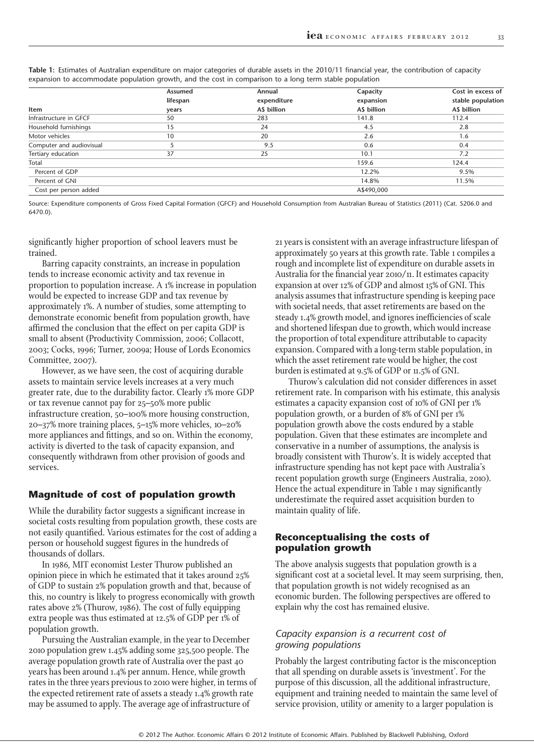|                          | Assumed<br>lifespan | Annual<br>expenditure | Capacity<br>expansion | Cost in excess of<br>stable population |
|--------------------------|---------------------|-----------------------|-----------------------|----------------------------------------|
|                          |                     |                       |                       |                                        |
| Infrastructure in GFCF   | 50                  | 283                   | 141.8                 | 112.4                                  |
| Household furnishings    | 15                  | 24                    | 4.5                   | 2.8                                    |
| Motor vehicles           | 10                  | 20                    | 2.6                   | 1.6                                    |
| Computer and audiovisual |                     | 9.5                   | 0.6                   | 0.4                                    |
| Tertiary education       | 37                  | 25                    | 10.1                  | 7.2                                    |
| Total                    |                     |                       | 159.6                 | 124.4                                  |
| Percent of GDP           |                     |                       | 12.2%                 | 9.5%                                   |
| Percent of GNI           |                     |                       | 14.8%                 | 11.5%                                  |
| Cost per person added    |                     |                       | A\$490,000            |                                        |

**Table 1:** Estimates of Australian expenditure on major categories of durable assets in the 2010/11 financial year, the contribution of capacity expansion to accommodate population growth, and the cost in comparison to a long term stable population

Source: Expenditure components of Gross Fixed Capital Formation (GFCF) and Household Consumption from Australian Bureau of Statistics (2011) (Cat. 5206.0 and 6470.0).

significantly higher proportion of school leavers must be trained.

Barring capacity constraints, an increase in population tends to increase economic activity and tax revenue in proportion to population increase. A 1% increase in population would be expected to increase GDP and tax revenue by approximately 1%. A number of studies, some attempting to demonstrate economic benefit from population growth, have affirmed the conclusion that the effect on per capita GDP is small to absent (Productivity Commission, 2006; Collacott, 2003; Cocks, 1996; Turner, 2009a; House of Lords Economics Committee, 2007).

However, as we have seen, the cost of acquiring durable assets to maintain service levels increases at a very much greater rate, due to the durability factor. Clearly 1% more GDP or tax revenue cannot pay for 25–50% more public infrastructure creation, 50–100% more housing construction, 20–37% more training places, 5–15% more vehicles, 10–20% more appliances and fittings, and so on. Within the economy, activity is diverted to the task of capacity expansion, and consequently withdrawn from other provision of goods and services.

### **Magnitude of cost of population growth**

While the durability factor suggests a significant increase in societal costs resulting from population growth, these costs are not easily quantified. Various estimates for the cost of adding a person or household suggest figures in the hundreds of thousands of dollars.

In 1986, MIT economist Lester Thurow published an opinion piece in which he estimated that it takes around 25% of GDP to sustain 2% population growth and that, because of this, no country is likely to progress economically with growth rates above 2% (Thurow, 1986). The cost of fully equipping extra people was thus estimated at 12.5% of GDP per 1% of population growth.

Pursuing the Australian example, in the year to December 2010 population grew 1.45% adding some325,500 people. The average population growth rate of Australia over the past 40 years has been around 1.4% per annum. Hence, while growth rates in the three years previous to 2010 were higher, in terms of the expected retirement rate of assets a steady 1.4% growth rate may be assumed to apply. The average age of infrastructure of

21 years is consistent with an average infrastructure lifespan of approximately 50 years at this growth rate. Table 1compiles a rough and incomplete list of expenditure on durable assets in Australia for the financial year 2010/11. It estimates capacity expansion at over 12% of GDP and almost 15% of GNI. This analysis assumes that infrastructure spending is keeping pace with societal needs, that asset retirements are based on the steady 1.4% growth model, and ignores inefficiencies of scale and shortened lifespan due to growth, which would increase the proportion of total expenditure attributable to capacity expansion. Compared with a long-term stable population, in which the asset retirement rate would be higher, the cost burden is estimated at 9.5% of GDP or 11.5% of GNI.

Thurow's calculation did not consider differences in asset retirement rate. In comparison with his estimate, this analysis estimates a capacity expansion cost of 10% of GNI per 1% population growth, or a burden of 8% of GNI per 1% population growth above the costs endured by a stable population. Given that these estimates are incomplete and conservative in a number of assumptions, the analysis is broadly consistent with Thurow's. It is widely accepted that infrastructure spending has not kept pace with Australia's recent population growth surge (Engineers Australia, 2010). Hence the actual expenditure in Table 1 may significantly underestimate the required asset acquisition burden to maintain quality of life.

## **Reconceptualising the costs of population growth**

The above analysis suggests that population growth is a significant cost at a societal level. It may seem surprising, then, that population growth is not widely recognised as an economic burden. The following perspectives are offered to explain why the cost has remained elusive.

### *Capacity expansion is a recurrent cost of growing populations*

Probably the largest contributing factor is the misconception that all spending on durable assets is 'investment'. For the purpose of this discussion, all the additional infrastructure, equipment and training needed to maintain the same level of service provision, utility or amenity to a larger population is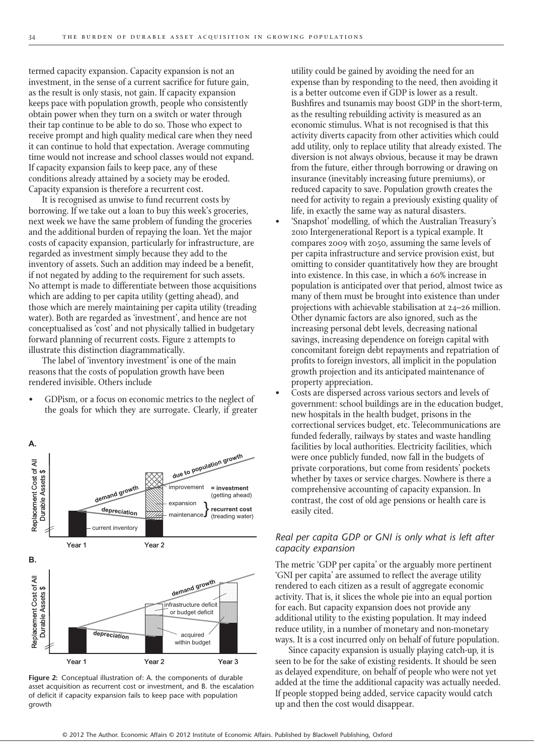termed capacity expansion. Capacity expansion is not an investment, in the sense of a current sacrifice for future gain, as the result is only stasis, not gain. If capacity expansion keeps pace with population growth, people who consistently obtain power when they turn on a switch or water through their tap continue to be able to do so. Those who expect to receive prompt and high quality medical care when they need it can continue to hold that expectation. Average commuting time would not increase and school classes would not expand. If capacity expansion fails to keep pace, any of these conditions already attained by a society may be eroded. Capacity expansion is therefore a recurrent cost.

It is recognised as unwise to fund recurrent costs by borrowing. If we take out a loan to buy this week's groceries, next week we have the same problem of funding the groceries and the additional burden of repaying the loan. Yet the major costs of capacity expansion, particularly for infrastructure, are regarded as investment simply because they add to the inventory of assets. Such an addition may indeed be a benefit, if not negated by adding to the requirement for such assets. No attempt is made to differentiate between those acquisitions which are adding to per capita utility (getting ahead), and those which are merely maintaining per capita utility (treading water). Both are regarded as 'investment', and hence are not conceptualised as 'cost' and not physically tallied in budgetary forward planning of recurrent costs. Figure 2 attempts to illustrate this distinction diagrammatically.

The label of 'inventory investment' is one of the main reasons that the costs of population growth have been rendered invisible. Others include

**demand growth**

• GDPism, or a focus on economic metrics to the neglect of the goals for which they are surrogate. Clearly, if greater



**Figure 2:** Conceptual illustration of: A. the components of durable asset acquisition as recurrent cost or investment, and B. the escalation of deficit if capacity expansion fails to keep pace with population growth

utility could be gained by avoiding the need for an expense than by responding to the need, then avoiding it is a better outcome even if GDP is lower as a result. Bushfires and tsunamis may boost GDP in the short-term, as the resulting rebuilding activity is measured as an economic stimulus. What is not recognised is that this activity diverts capacity from other activities which could add utility, only to replace utility that already existed. The diversion is not always obvious, because it may be drawn from the future, either through borrowing or drawing on insurance (inevitably increasing future premiums), or reduced capacity to save. Population growth creates the need for activity to regain a previously existing quality of life, in exactly the same way as natural disasters.

- 'Snapshot' modelling, of which the Australian Treasury's 2010 Intergenerational Report is a typical example. It compares 2009 with 2050, assuming the same levels of per capita infrastructure and service provision exist, but omitting to consider quantitatively how they are brought into existence. In this case, in which a 60% increase in population is anticipated over that period, almost twice as many of them must be brought into existence than under projections with achievable stabilisation at 24–26 million. Other dynamic factors are also ignored, such as the increasing personal debt levels, decreasing national savings, increasing dependence on foreign capital with concomitant foreign debt repayments and repatriation of profits to foreign investors, all implicit in the population growth projection and its anticipated maintenance of property appreciation.
- Costs are dispersed across various sectors and levels of government: school buildings are in the education budget, new hospitals in the health budget, prisons in the correctional services budget, etc. Telecommunications are funded federally, railways by states and waste handling facilities by local authorities. Electricity facilities, which were once publicly funded, now fall in the budgets of private corporations, but come from residents' pockets whether by taxes or service charges. Nowhere is there a comprehensive accounting of capacity expansion. In contrast, the cost of old age pensions or health care is easily cited.

#### *Real per capita GDP or GNI is only what is left after capacity expansion*

The metric 'GDP per capita' or the arguably more pertinent 'GNI per capita' are assumed to reflect the average utility rendered to each citizen as a result of aggregate economic activity. That is, it slices the whole pie into an equal portion for each. But capacity expansion does not provide any additional utility to the existing population. It may indeed reduce utility, in a number of monetary and non-monetary ways. It is a cost incurred only on behalf of future population.

Since capacity expansion is usually playing catch-up, it is seen to be for the sake of existing residents. It should be seen as delayed expenditure, on behalf of people who were not yet added at the time the additional capacity was actually needed. If people stopped being added, service capacity would catch up and then the cost would disappear.

**A.**

**= investment** (getting ahead)

**due to population growth**

expansion mprovement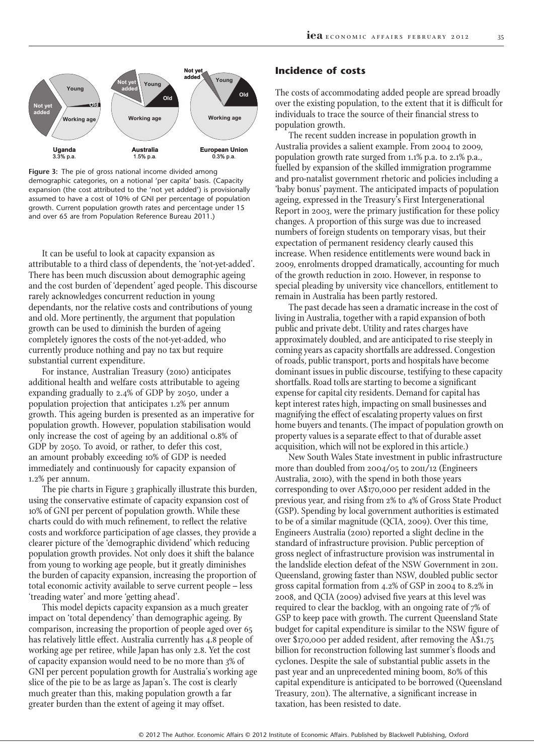

**Figure 3:** The pie of gross national income divided among demographic categories, on a notional 'per capita' basis. (Capacity expansion (the cost attributed to the 'not yet added') is provisionally assumed to have a cost of 10% of GNI per percentage of population growth. Current population growth rates and percentage under 15 and over 65 are from Population Reference Bureau 2011.)

It can be useful to look at capacity expansion as attributable to a third class of dependents, the 'not-yet-added'. There has been much discussion about demographic ageing and the cost burden of 'dependent' aged people. This discourse rarely acknowledges concurrent reduction in young dependants, nor the relative costs and contributions of young and old. More pertinently, the argument that population growth can be used to diminish the burden of ageing completely ignores the costs of the not-yet-added, who currently produce nothing and pay no tax but require substantial current expenditure.

For instance, Australian Treasury (2010) anticipates additional health and welfare costs attributable to ageing expanding gradually to 2.4% of GDP by 2050, under a population projection that anticipates 1.2% per annum growth. This ageing burden is presented as an imperative for population growth. However, population stabilisation would only increase the cost of ageing by an additional 0.8% of GDP by 2050. To avoid, or rather, to defer this cost, an amount probably exceeding 10% of GDP is needed immediately and continuously for capacity expansion of 1.2% per annum.

The pie charts in Figure 3 graphically illustrate this burden, using the conservative estimate of capacity expansion cost of 10% of GNI per percent of population growth. While these charts could do with much refinement, to reflect the relative costs and workforce participation of age classes, they provide a clearer picture of the 'demographic dividend' which reducing population growth provides. Not only does it shift the balance from young to working age people, but it greatly diminishes the burden of capacity expansion, increasing the proportion of total economic activity available to serve current people – less 'treading water' and more 'getting ahead'.

This model depicts capacity expansion as a much greater impact on 'total dependency' than demographic ageing. By comparison, increasing the proportion of people aged over 65 has relatively little effect. Australia currently has 4.8 people of working age per retiree, while Japan has only 2.8. Yet the cost of capacity expansion would need to be no more than 3% of GNI per percent population growth for Australia's working age slice of the pie to be as large as Japan's. The cost is clearly much greater than this, making population growth a far greater burden than the extent of ageing it may offset.

#### **Incidence of costs**

The costs of accommodating added people are spread broadly over the existing population, to the extent that it is difficult for individuals to trace the source of their financial stress to population growth.

The recent sudden increase in population growth in Australia provides a salient example. From 2004 to 2009, population growth rate surged from 1.1% p.a. to 2.1% p.a., fuelled by expansion of the skilled immigration programme and pro-natalist government rhetoric and policies including a 'baby bonus' payment. The anticipated impacts of population ageing, expressed in the Treasury's First Intergenerational Report in 2003, were the primary justification for these policy changes. A proportion of this surge was due to increased numbers of foreign students on temporary visas, but their expectation of permanent residency clearly caused this increase. When residence entitlements were wound back in 2009, enrolments dropped dramatically, accounting for much of the growth reduction in 2010. However, in response to special pleading by university vice chancellors, entitlement to remain in Australia has been partly restored.

The past decade has seen a dramatic increase in the cost of living in Australia, together with a rapid expansion of both public and private debt. Utility and rates charges have approximately doubled, and are anticipated to rise steeply in coming years as capacity shortfalls are addressed. Congestion of roads, public transport, ports and hospitals have become dominant issues in public discourse, testifying to these capacity shortfalls. Road tolls are starting to become a significant expense for capital city residents. Demand for capital has kept interest rates high, impacting on small businesses and magnifying the effect of escalating property values on first home buyers and tenants. (The impact of population growth on property values is a separate effect to that of durable asset acquisition, which will not be explored in this article.)

New South Wales State investment in public infrastructure more than doubled from 2004/05 to 2011/12 (Engineers Australia, 2010), with the spend in both those years corresponding to over A\$170,000 per resident added in the previous year, and rising from 2% to 4% of Gross State Product (GSP). Spending by local government authorities is estimated to be of a similar magnitude (QCIA, 2009). Over this time, Engineers Australia (2010) reported a slight decline in the standard of infrastructure provision. Public perception of gross neglect of infrastructure provision was instrumental in the landslide election defeat of the NSW Government in 2011. Queensland, growing faster than NSW, doubled public sector gross capital formation from 4.2% of GSP in 2004 to 8.2% in 2008, and QCIA (2009) advised five years at this level was required to clear the backlog, with an ongoing rate of 7% of GSP to keep pace with growth. The current Queensland State budget for capital expenditure is similar to the NSW figure of over \$170,000 per added resident, after removing the A\$1.75 billion for reconstruction following last summer's floods and cyclones. Despite the sale of substantial public assets in the past year and an unprecedented mining boom, 80% of this capital expenditure is anticipated to be borrowed (Queensland Treasury, 2011). The alternative, a significant increase in taxation, has been resisted to date.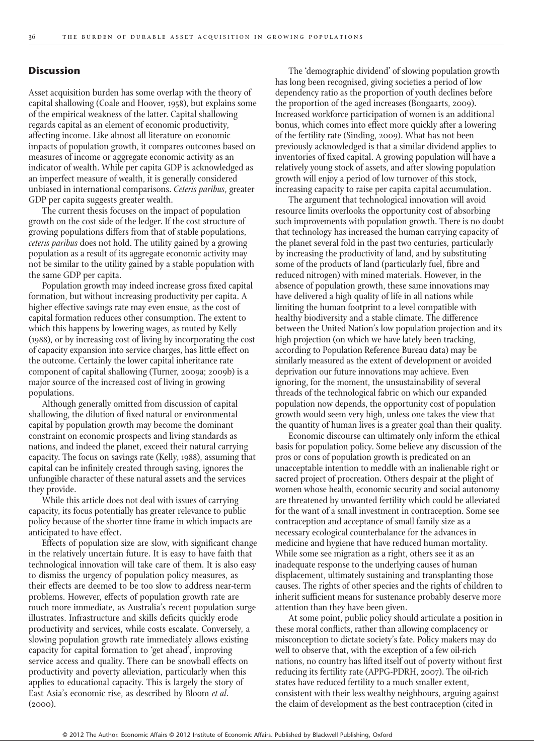# **Discussion**

Asset acquisition burden has some overlap with the theory of capital shallowing (Coale and Hoover, 1958), but explains some of the empirical weakness of the latter. Capital shallowing regards capital as an element of economic productivity, affecting income. Like almost all literature on economic impacts of population growth, it compares outcomes based on measures of income or aggregate economic activity as an indicator of wealth. While per capita GDP is acknowledged as an imperfect measure of wealth, it is generally considered unbiased in international comparisons. *Ceteris paribus*, greater GDP per capita suggests greater wealth.

The current thesis focuses on the impact of population growth on the cost side of the ledger. If the cost structure of growing populations differs from that of stable populations, *ceteris paribus* does not hold. The utility gained by a growing population as a result of its aggregate economic activity may not be similar to the utility gained by a stable population with the same GDP per capita.

Population growth may indeed increase gross fixed capital formation, but without increasing productivity per capita. A higher effective savings rate may even ensue, as the cost of capital formation reduces other consumption. The extent to which this happens by lowering wages, as muted by Kelly (1988), or by increasing cost of living by incorporating the cost of capacity expansion into service charges, has little effect on the outcome. Certainly the lower capital inheritance rate component of capital shallowing (Turner, 2009a; 2009b) is a major source of the increased cost of living in growing populations.

Although generally omitted from discussion of capital shallowing, the dilution of fixed natural or environmental capital by population growth may become the dominant constraint on economic prospects and living standards as nations, and indeed the planet, exceed their natural carrying capacity. The focus on savings rate (Kelly, 1988), assuming that capital can be infinitely created through saving, ignores the unfungible character of these natural assets and the services they provide.

While this article does not deal with issues of carrying capacity, its focus potentially has greater relevance to public policy because of the shorter time frame in which impacts are anticipated to have effect.

Effects of population size are slow, with significant change in the relatively uncertain future. It is easy to have faith that technological innovation will take care of them. It is also easy to dismiss the urgency of population policy measures, as their effects are deemed to be too slow to address near-term problems. However, effects of population growth rate are much more immediate, as Australia's recent population surge illustrates. Infrastructure and skills deficits quickly erode productivity and services, while costs escalate. Conversely, a slowing population growth rate immediately allows existing capacity for capital formation to 'get ahead', improving service access and quality. There can be snowball effects on productivity and poverty alleviation, particularly when this applies to educational capacity. This is largely the story of East Asia's economic rise, as described by Bloom *et al*.  $(2000).$ 

The 'demographic dividend' of slowing population growth has long been recognised, giving societies a period of low dependency ratio as the proportion of youth declines before the proportion of the aged increases (Bongaarts, 2009). Increased workforce participation of women is an additional bonus, which comes into effect more quickly after a lowering of the fertility rate (Sinding, 2009). What has not been previously acknowledged is that a similar dividend applies to inventories of fixed capital. A growing population will have a relatively young stock of assets, and after slowing population growth will enjoy a period of low turnover of this stock, increasing capacity to raise per capita capital accumulation.

The argument that technological innovation will avoid resource limits overlooks the opportunity cost of absorbing such improvements with population growth. There is no doubt that technology has increased the human carrying capacity of the planet several fold in the past two centuries, particularly by increasing the productivity of land, and by substituting some of the products of land (particularly fuel, fibre and reduced nitrogen) with mined materials. However, in the absence of population growth, these same innovations may have delivered a high quality of life in all nations while limiting the human footprint to a level compatible with healthy biodiversity and a stable climate. The difference between the United Nation's low population projection and its high projection (on which we have lately been tracking, according to Population Reference Bureau data) may be similarly measured as the extent of development or avoided deprivation our future innovations may achieve. Even ignoring, for the moment, the unsustainability of several threads of the technological fabric on which our expanded population now depends, the opportunity cost of population growth would seem very high, unless one takes the view that the quantity of human lives is a greater goal than their quality.

Economic discourse can ultimately only inform the ethical basis for population policy. Some believe any discussion of the pros or cons of population growth is predicated on an unacceptable intention to meddle with an inalienable right or sacred project of procreation. Others despair at the plight of women whose health, economic security and social autonomy are threatened by unwanted fertility which could be alleviated for the want of a small investment in contraception. Some see contraception and acceptance of small family size as a necessary ecological counterbalance for the advances in medicine and hygiene that have reduced human mortality. While some see migration as a right, others see it as an inadequate response to the underlying causes of human displacement, ultimately sustaining and transplanting those causes. The rights of other species and the rights of children to inherit sufficient means for sustenance probably deserve more attention than they have been given.

At some point, public policy should articulate a position in these moral conflicts, rather than allowing complacency or misconception to dictate society's fate. Policy makers may do well to observe that, with the exception of a few oil-rich nations, no country has lifted itself out of poverty without first reducing its fertility rate (APPG-PDRH, 2007). The oil-rich states have reduced fertility to a much smaller extent, consistent with their less wealthy neighbours, arguing against the claim of development as the best contraception (cited in